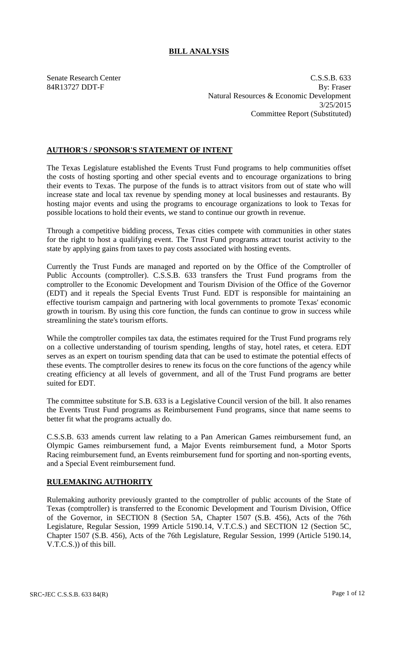## **BILL ANALYSIS**

Senate Research Center C.S.S.B. 633 84R13727 DDT-F By: Fraser Natural Resources & Economic Development 3/25/2015 Committee Report (Substituted)

## **AUTHOR'S / SPONSOR'S STATEMENT OF INTENT**

The Texas Legislature established the Events Trust Fund programs to help communities offset the costs of hosting sporting and other special events and to encourage organizations to bring their events to Texas. The purpose of the funds is to attract visitors from out of state who will increase state and local tax revenue by spending money at local businesses and restaurants. By hosting major events and using the programs to encourage organizations to look to Texas for possible locations to hold their events, we stand to continue our growth in revenue.

Through a competitive bidding process, Texas cities compete with communities in other states for the right to host a qualifying event. The Trust Fund programs attract tourist activity to the state by applying gains from taxes to pay costs associated with hosting events.

Currently the Trust Funds are managed and reported on by the Office of the Comptroller of Public Accounts (comptroller). C.S.S.B. 633 transfers the Trust Fund programs from the comptroller to the Economic Development and Tourism Division of the Office of the Governor (EDT) and it repeals the Special Events Trust Fund. EDT is responsible for maintaining an effective tourism campaign and partnering with local governments to promote Texas' economic growth in tourism. By using this core function, the funds can continue to grow in success while streamlining the state's tourism efforts.

While the comptroller compiles tax data, the estimates required for the Trust Fund programs rely on a collective understanding of tourism spending, lengths of stay, hotel rates, et cetera. EDT serves as an expert on tourism spending data that can be used to estimate the potential effects of these events. The comptroller desires to renew its focus on the core functions of the agency while creating efficiency at all levels of government, and all of the Trust Fund programs are better suited for EDT.

The committee substitute for S.B. 633 is a Legislative Council version of the bill. It also renames the Events Trust Fund programs as Reimbursement Fund programs, since that name seems to better fit what the programs actually do.

C.S.S.B. 633 amends current law relating to a Pan American Games reimbursement fund, an Olympic Games reimbursement fund, a Major Events reimbursement fund, a Motor Sports Racing reimbursement fund, an Events reimbursement fund for sporting and non-sporting events, and a Special Event reimbursement fund.

## **RULEMAKING AUTHORITY**

Rulemaking authority previously granted to the comptroller of public accounts of the State of Texas (comptroller) is transferred to the Economic Development and Tourism Division, Office of the Governor, in SECTION 8 (Section 5A, Chapter 1507 (S.B. 456), Acts of the 76th Legislature, Regular Session, 1999 Article 5190.14, V.T.C.S.) and SECTION 12 (Section 5C, Chapter 1507 (S.B. 456), Acts of the 76th Legislature, Regular Session, 1999 (Article 5190.14, V.T.C.S.)) of this bill.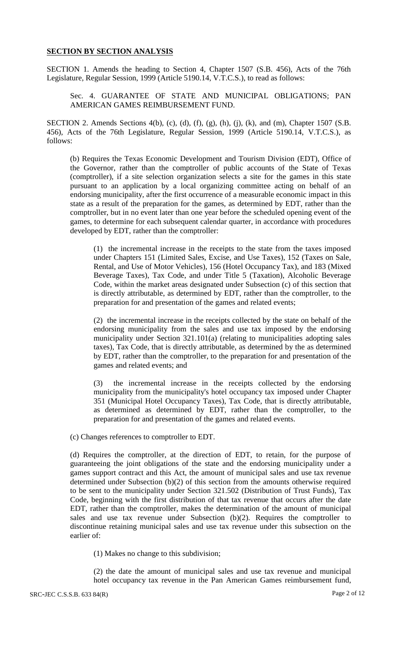## **SECTION BY SECTION ANALYSIS**

SECTION 1. Amends the heading to Section 4, Chapter 1507 (S.B. 456), Acts of the 76th Legislature, Regular Session, 1999 (Article 5190.14, V.T.C.S.), to read as follows:

Sec. 4. GUARANTEE OF STATE AND MUNICIPAL OBLIGATIONS; PAN AMERICAN GAMES REIMBURSEMENT FUND.

SECTION 2. Amends Sections 4(b), (c), (d), (f), (g), (h), (j), (k), and (m), Chapter 1507 (S.B. 456), Acts of the 76th Legislature, Regular Session, 1999 (Article 5190.14, V.T.C.S.), as follows:

(b) Requires the Texas Economic Development and Tourism Division (EDT), Office of the Governor, rather than the comptroller of public accounts of the State of Texas (comptroller), if a site selection organization selects a site for the games in this state pursuant to an application by a local organizing committee acting on behalf of an endorsing municipality, after the first occurrence of a measurable economic impact in this state as a result of the preparation for the games, as determined by EDT, rather than the comptroller, but in no event later than one year before the scheduled opening event of the games, to determine for each subsequent calendar quarter, in accordance with procedures developed by EDT, rather than the comptroller:

(1) the incremental increase in the receipts to the state from the taxes imposed under Chapters 151 (Limited Sales, Excise, and Use Taxes), 152 (Taxes on Sale, Rental, and Use of Motor Vehicles), 156 (Hotel Occupancy Tax), and 183 (Mixed Beverage Taxes), Tax Code, and under Title 5 (Taxation), Alcoholic Beverage Code, within the market areas designated under Subsection (c) of this section that is directly attributable, as determined by EDT, rather than the comptroller, to the preparation for and presentation of the games and related events;

(2) the incremental increase in the receipts collected by the state on behalf of the endorsing municipality from the sales and use tax imposed by the endorsing municipality under Section 321.101(a) (relating to municipalities adopting sales taxes), Tax Code, that is directly attributable, as determined by the as determined by EDT, rather than the comptroller, to the preparation for and presentation of the games and related events; and

(3) the incremental increase in the receipts collected by the endorsing municipality from the municipality's hotel occupancy tax imposed under Chapter 351 (Municipal Hotel Occupancy Taxes), Tax Code, that is directly attributable, as determined as determined by EDT, rather than the comptroller, to the preparation for and presentation of the games and related events.

(c) Changes references to comptroller to EDT.

(d) Requires the comptroller, at the direction of EDT, to retain, for the purpose of guaranteeing the joint obligations of the state and the endorsing municipality under a games support contract and this Act, the amount of municipal sales and use tax revenue determined under Subsection (b)(2) of this section from the amounts otherwise required to be sent to the municipality under Section 321.502 (Distribution of Trust Funds), Tax Code, beginning with the first distribution of that tax revenue that occurs after the date EDT, rather than the comptroller, makes the determination of the amount of municipal sales and use tax revenue under Subsection (b)(2). Requires the comptroller to discontinue retaining municipal sales and use tax revenue under this subsection on the earlier of:

(1) Makes no change to this subdivision;

(2) the date the amount of municipal sales and use tax revenue and municipal hotel occupancy tax revenue in the Pan American Games reimbursement fund,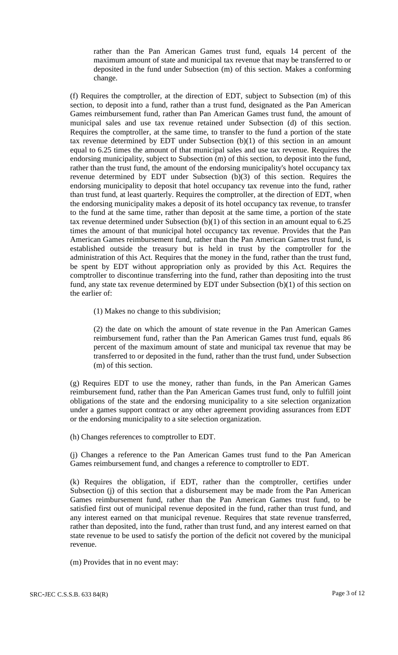rather than the Pan American Games trust fund, equals 14 percent of the maximum amount of state and municipal tax revenue that may be transferred to or deposited in the fund under Subsection (m) of this section. Makes a conforming change.

(f) Requires the comptroller, at the direction of EDT, subject to Subsection (m) of this section, to deposit into a fund, rather than a trust fund, designated as the Pan American Games reimbursement fund, rather than Pan American Games trust fund, the amount of municipal sales and use tax revenue retained under Subsection (d) of this section. Requires the comptroller, at the same time, to transfer to the fund a portion of the state tax revenue determined by EDT under Subsection  $(b)(1)$  of this section in an amount equal to 6.25 times the amount of that municipal sales and use tax revenue. Requires the endorsing municipality, subject to Subsection (m) of this section, to deposit into the fund, rather than the trust fund, the amount of the endorsing municipality's hotel occupancy tax revenue determined by EDT under Subsection (b)(3) of this section. Requires the endorsing municipality to deposit that hotel occupancy tax revenue into the fund, rather than trust fund, at least quarterly. Requires the comptroller, at the direction of EDT, when the endorsing municipality makes a deposit of its hotel occupancy tax revenue, to transfer to the fund at the same time, rather than deposit at the same time, a portion of the state tax revenue determined under Subsection  $(b)(1)$  of this section in an amount equal to 6.25 times the amount of that municipal hotel occupancy tax revenue. Provides that the Pan American Games reimbursement fund, rather than the Pan American Games trust fund, is established outside the treasury but is held in trust by the comptroller for the administration of this Act. Requires that the money in the fund, rather than the trust fund, be spent by EDT without appropriation only as provided by this Act. Requires the comptroller to discontinue transferring into the fund, rather than depositing into the trust fund, any state tax revenue determined by EDT under Subsection (b)(1) of this section on the earlier of:

(1) Makes no change to this subdivision;

(2) the date on which the amount of state revenue in the Pan American Games reimbursement fund, rather than the Pan American Games trust fund, equals 86 percent of the maximum amount of state and municipal tax revenue that may be transferred to or deposited in the fund, rather than the trust fund, under Subsection (m) of this section.

(g) Requires EDT to use the money, rather than funds, in the Pan American Games reimbursement fund, rather than the Pan American Games trust fund, only to fulfill joint obligations of the state and the endorsing municipality to a site selection organization under a games support contract or any other agreement providing assurances from EDT or the endorsing municipality to a site selection organization.

(h) Changes references to comptroller to EDT.

(j) Changes a reference to the Pan American Games trust fund to the Pan American Games reimbursement fund, and changes a reference to comptroller to EDT.

(k) Requires the obligation, if EDT, rather than the comptroller, certifies under Subsection (j) of this section that a disbursement may be made from the Pan American Games reimbursement fund, rather than the Pan American Games trust fund, to be satisfied first out of municipal revenue deposited in the fund, rather than trust fund, and any interest earned on that municipal revenue. Requires that state revenue transferred, rather than deposited, into the fund, rather than trust fund, and any interest earned on that state revenue to be used to satisfy the portion of the deficit not covered by the municipal revenue.

<sup>(</sup>m) Provides that in no event may: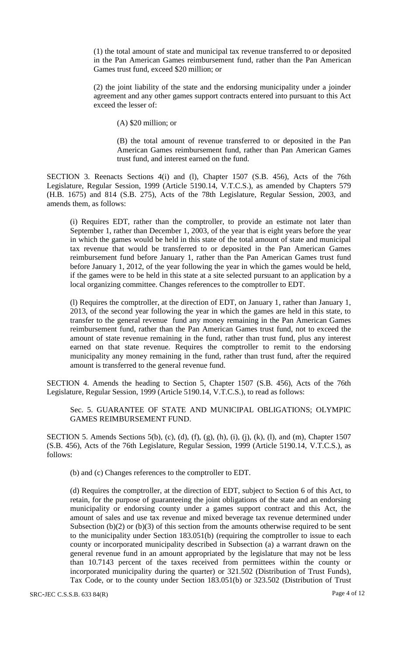(1) the total amount of state and municipal tax revenue transferred to or deposited in the Pan American Games reimbursement fund, rather than the Pan American Games trust fund, exceed \$20 million; or

(2) the joint liability of the state and the endorsing municipality under a joinder agreement and any other games support contracts entered into pursuant to this Act exceed the lesser of:

(A) \$20 million; or

(B) the total amount of revenue transferred to or deposited in the Pan American Games reimbursement fund, rather than Pan American Games trust fund, and interest earned on the fund.

SECTION 3. Reenacts Sections 4(i) and (l), Chapter 1507 (S.B. 456), Acts of the 76th Legislature, Regular Session, 1999 (Article 5190.14, V.T.C.S.), as amended by Chapters 579 (H.B. 1675) and 814 (S.B. 275), Acts of the 78th Legislature, Regular Session, 2003, and amends them, as follows:

(i) Requires EDT, rather than the comptroller, to provide an estimate not later than September 1, rather than December 1, 2003, of the year that is eight years before the year in which the games would be held in this state of the total amount of state and municipal tax revenue that would be transferred to or deposited in the Pan American Games reimbursement fund before January 1, rather than the Pan American Games trust fund before January 1, 2012, of the year following the year in which the games would be held, if the games were to be held in this state at a site selected pursuant to an application by a local organizing committee. Changes references to the comptroller to EDT.

(l) Requires the comptroller, at the direction of EDT, on January 1, rather than January 1, 2013, of the second year following the year in which the games are held in this state, to transfer to the general revenue fund any money remaining in the Pan American Games reimbursement fund, rather than the Pan American Games trust fund, not to exceed the amount of state revenue remaining in the fund, rather than trust fund, plus any interest earned on that state revenue. Requires the comptroller to remit to the endorsing municipality any money remaining in the fund, rather than trust fund, after the required amount is transferred to the general revenue fund.

SECTION 4. Amends the heading to Section 5, Chapter 1507 (S.B. 456), Acts of the 76th Legislature, Regular Session, 1999 (Article 5190.14, V.T.C.S.), to read as follows:

Sec. 5. GUARANTEE OF STATE AND MUNICIPAL OBLIGATIONS; OLYMPIC GAMES REIMBURSEMENT FUND.

SECTION 5. Amends Sections 5(b), (c), (d), (f), (g), (h), (i), (j), (k), (l), and (m), Chapter 1507 (S.B. 456), Acts of the 76th Legislature, Regular Session, 1999 (Article 5190.14, V.T.C.S.), as follows:

(b) and (c) Changes references to the comptroller to EDT.

(d) Requires the comptroller, at the direction of EDT, subject to Section 6 of this Act, to retain, for the purpose of guaranteeing the joint obligations of the state and an endorsing municipality or endorsing county under a games support contract and this Act, the amount of sales and use tax revenue and mixed beverage tax revenue determined under Subsection (b)(2) or (b)(3) of this section from the amounts otherwise required to be sent to the municipality under Section 183.051(b) (requiring the comptroller to issue to each county or incorporated municipality described in Subsection (a) a warrant drawn on the general revenue fund in an amount appropriated by the legislature that may not be less than 10.7143 percent of the taxes received from permittees within the county or incorporated municipality during the quarter) or 321.502 (Distribution of Trust Funds), Tax Code, or to the county under Section 183.051(b) or 323.502 (Distribution of Trust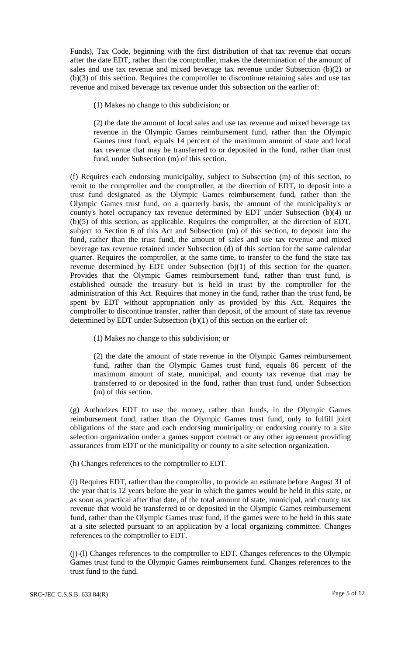Funds), Tax Code, beginning with the first distribution of that tax revenue that occurs after the date EDT, rather than the comptroller, makes the determination of the amount of sales and use tax revenue and mixed beverage tax revenue under Subsection (b)(2) or (b)(3) of this section. Requires the comptroller to discontinue retaining sales and use tax revenue and mixed beverage tax revenue under this subsection on the earlier of:

(1) Makes no change to this subdivision; or

(2) the date the amount of local sales and use tax revenue and mixed beverage tax revenue in the Olympic Games reimbursement fund, rather than the Olympic Games trust fund, equals 14 percent of the maximum amount of state and local tax revenue that may be transferred to or deposited in the fund, rather than trust fund, under Subsection (m) of this section.

(f) Requires each endorsing municipality, subject to Subsection (m) of this section, to remit to the comptroller and the comptroller, at the direction of EDT, to deposit into a trust fund designated as the Olympic Games reimbursement fund, rather than the Olympic Games trust fund, on a quarterly basis, the amount of the municipality's or county's hotel occupancy tax revenue determined by EDT under Subsection (b)(4) or (b)(5) of this section, as applicable. Requires the comptroller, at the direction of EDT, subject to Section 6 of this Act and Subsection (m) of this section, to deposit into the fund, rather than the trust fund, the amount of sales and use tax revenue and mixed beverage tax revenue retained under Subsection (d) of this section for the same calendar quarter. Requires the comptroller, at the same time, to transfer to the fund the state tax revenue determined by EDT under Subsection (b)(1) of this section for the quarter. Provides that the Olympic Games reimbursement fund, rather than trust fund, is established outside the treasury but is held in trust by the comptroller for the administration of this Act. Requires that money in the fund, rather than the trust fund, be spent by EDT without appropriation only as provided by this Act. Requires the comptroller to discontinue transfer, rather than deposit, of the amount of state tax revenue determined by EDT under Subsection (b)(1) of this section on the earlier of:

(1) Makes no change to this subdivision; or

(2) the date the amount of state revenue in the Olympic Games reimbursement fund, rather than the Olympic Games trust fund, equals 86 percent of the maximum amount of state, municipal, and county tax revenue that may be transferred to or deposited in the fund, rather than trust fund, under Subsection (m) of this section.

(g) Authorizes EDT to use the money, rather than funds, in the Olympic Games reimbursement fund, rather than the Olympic Games trust fund, only to fulfill joint obligations of the state and each endorsing municipality or endorsing county to a site selection organization under a games support contract or any other agreement providing assurances from EDT or the municipality or county to a site selection organization.

(h) Changes references to the comptroller to EDT.

(i) Requires EDT, rather than the comptroller, to provide an estimate before August 31 of the year that is 12 years before the year in which the games would be held in this state, or as soon as practical after that date, of the total amount of state, municipal, and county tax revenue that would be transferred to or deposited in the Olympic Games reimbursement fund, rather than the Olympic Games trust fund, if the games were to be held in this state at a site selected pursuant to an application by a local organizing committee. Changes references to the comptroller to EDT.

(j)-(l) Changes references to the comptroller to EDT. Changes references to the Olympic Games trust fund to the Olympic Games reimbursement fund. Changes references to the trust fund to the fund.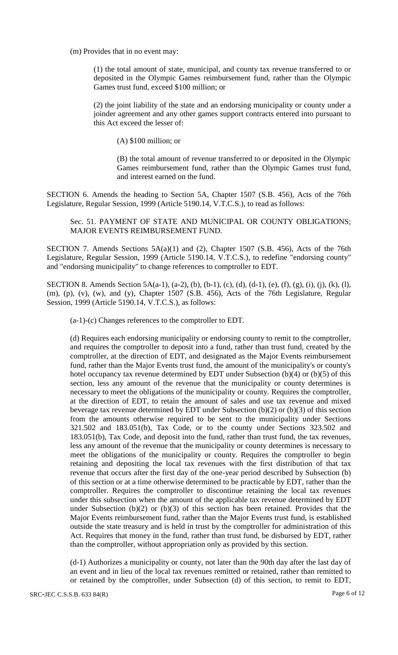(m) Provides that in no event may:

(1) the total amount of state, municipal, and county tax revenue transferred to or deposited in the Olympic Games reimbursement fund, rather than the Olympic Games trust fund, exceed \$100 million; or

(2) the joint liability of the state and an endorsing municipality or county under a joinder agreement and any other games support contracts entered into pursuant to this Act exceed the lesser of:

(A) \$100 million; or

(B) the total amount of revenue transferred to or deposited in the Olympic Games reimbursement fund, rather than the Olympic Games trust fund, and interest earned on the fund.

SECTION 6. Amends the heading to Section 5A, Chapter 1507 (S.B. 456), Acts of the 76th Legislature, Regular Session, 1999 (Article 5190.14, V.T.C.S.), to read as follows:

Sec. 51. PAYMENT OF STATE AND MUNICIPAL OR COUNTY OBLIGATIONS; MAJOR EVENTS REIMBURSEMENT FUND.

SECTION 7. Amends Sections 5A(a)(1) and (2), Chapter 1507 (S.B. 456), Acts of the 76th Legislature, Regular Session, 1999 (Article 5190.14, V.T.C.S.), to redefine "endorsing county" and "endorsing municipality" to change references to comptroller to EDT.

SECTION 8. Amends Section 5A(a-1), (a-2), (b), (b-1), (c), (d), (d-1), (e), (f), (g), (i), (j), (k), (l), (m), (p), (v), (w), and (y), Chapter 1507 (S.B. 456), Acts of the 76th Legislature, Regular Session, 1999 (Article 5190.14, V.T.C.S.), as follows:

(a-1)-(c) Changes references to the comptroller to EDT.

(d) Requires each endorsing municipality or endorsing county to remit to the comptroller, and requires the comptroller to deposit into a fund, rather than trust fund, created by the comptroller, at the direction of EDT, and designated as the Major Events reimbursement fund, rather than the Major Events trust fund, the amount of the municipality's or county's hotel occupancy tax revenue determined by EDT under Subsection (b)(4) or (b)(5) of this section, less any amount of the revenue that the municipality or county determines is necessary to meet the obligations of the municipality or county. Requires the comptroller, at the direction of EDT, to retain the amount of sales and use tax revenue and mixed beverage tax revenue determined by EDT under Subsection (b)(2) or (b)(3) of this section from the amounts otherwise required to be sent to the municipality under Sections 321.502 and 183.051(b), Tax Code, or to the county under Sections 323.502 and 183.051(b), Tax Code, and deposit into the fund, rather than trust fund, the tax revenues, less any amount of the revenue that the municipality or county determines is necessary to meet the obligations of the municipality or county. Requires the comptroller to begin retaining and depositing the local tax revenues with the first distribution of that tax revenue that occurs after the first day of the one-year period described by Subsection (b) of this section or at a time otherwise determined to be practicable by EDT, rather than the comptroller. Requires the comptroller to discontinue retaining the local tax revenues under this subsection when the amount of the applicable tax revenue determined by EDT under Subsection  $(b)(2)$  or  $(b)(3)$  of this section has been retained. Provides that the Major Events reimbursement fund, rather than the Major Events trust fund, is established outside the state treasury and is held in trust by the comptroller for administration of this Act. Requires that money in the fund, rather than trust fund, be disbursed by EDT, rather than the comptroller, without appropriation only as provided by this section.

(d-1) Authorizes a municipality or county, not later than the 90th day after the last day of an event and in lieu of the local tax revenues remitted or retained, rather than remitted to or retained by the comptroller, under Subsection (d) of this section, to remit to EDT,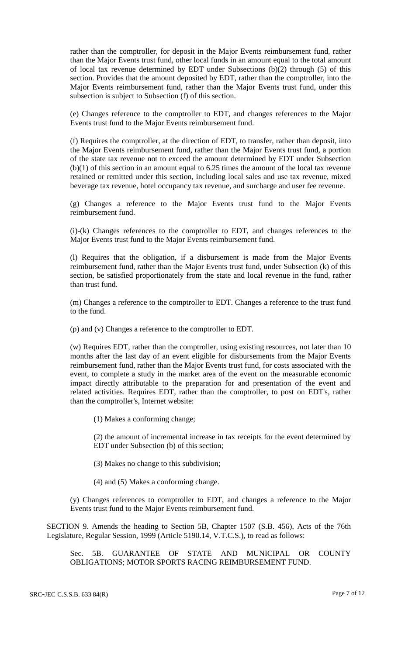rather than the comptroller, for deposit in the Major Events reimbursement fund, rather than the Major Events trust fund, other local funds in an amount equal to the total amount of local tax revenue determined by EDT under Subsections (b)(2) through (5) of this section. Provides that the amount deposited by EDT, rather than the comptroller, into the Major Events reimbursement fund, rather than the Major Events trust fund, under this subsection is subject to Subsection (f) of this section.

(e) Changes reference to the comptroller to EDT, and changes references to the Major Events trust fund to the Major Events reimbursement fund.

(f) Requires the comptroller, at the direction of EDT, to transfer, rather than deposit, into the Major Events reimbursement fund, rather than the Major Events trust fund, a portion of the state tax revenue not to exceed the amount determined by EDT under Subsection (b)(1) of this section in an amount equal to 6.25 times the amount of the local tax revenue retained or remitted under this section, including local sales and use tax revenue, mixed beverage tax revenue, hotel occupancy tax revenue, and surcharge and user fee revenue.

(g) Changes a reference to the Major Events trust fund to the Major Events reimbursement fund.

(i)-(k) Changes references to the comptroller to EDT, and changes references to the Major Events trust fund to the Major Events reimbursement fund.

(l) Requires that the obligation, if a disbursement is made from the Major Events reimbursement fund, rather than the Major Events trust fund, under Subsection (k) of this section, be satisfied proportionately from the state and local revenue in the fund, rather than trust fund.

(m) Changes a reference to the comptroller to EDT. Changes a reference to the trust fund to the fund.

(p) and (v) Changes a reference to the comptroller to EDT.

(w) Requires EDT, rather than the comptroller, using existing resources, not later than 10 months after the last day of an event eligible for disbursements from the Major Events reimbursement fund, rather than the Major Events trust fund, for costs associated with the event, to complete a study in the market area of the event on the measurable economic impact directly attributable to the preparation for and presentation of the event and related activities. Requires EDT, rather than the comptroller, to post on EDT's, rather than the comptroller's, Internet website:

(1) Makes a conforming change;

(2) the amount of incremental increase in tax receipts for the event determined by EDT under Subsection (b) of this section;

(3) Makes no change to this subdivision;

(4) and (5) Makes a conforming change.

(y) Changes references to comptroller to EDT, and changes a reference to the Major Events trust fund to the Major Events reimbursement fund.

SECTION 9. Amends the heading to Section 5B, Chapter 1507 (S.B. 456), Acts of the 76th Legislature, Regular Session, 1999 (Article 5190.14, V.T.C.S.), to read as follows:

Sec. 5B. GUARANTEE OF STATE AND MUNICIPAL OR COUNTY OBLIGATIONS; MOTOR SPORTS RACING REIMBURSEMENT FUND.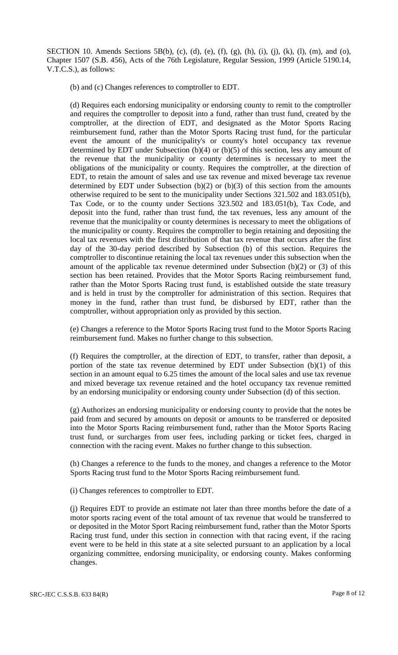SECTION 10. Amends Sections 5B(b), (c), (d), (e), (f), (g), (h), (i), (j), (k), (l), (m), and (o), Chapter 1507 (S.B. 456), Acts of the 76th Legislature, Regular Session, 1999 (Article 5190.14, V.T.C.S.), as follows:

(b) and (c) Changes references to comptroller to EDT.

(d) Requires each endorsing municipality or endorsing county to remit to the comptroller and requires the comptroller to deposit into a fund, rather than trust fund, created by the comptroller, at the direction of EDT, and designated as the Motor Sports Racing reimbursement fund, rather than the Motor Sports Racing trust fund, for the particular event the amount of the municipality's or county's hotel occupancy tax revenue determined by EDT under Subsection (b)(4) or (b)(5) of this section, less any amount of the revenue that the municipality or county determines is necessary to meet the obligations of the municipality or county. Requires the comptroller, at the direction of EDT, to retain the amount of sales and use tax revenue and mixed beverage tax revenue determined by EDT under Subsection (b)(2) or (b)(3) of this section from the amounts otherwise required to be sent to the municipality under Sections 321.502 and 183.051(b), Tax Code, or to the county under Sections 323.502 and 183.051(b), Tax Code, and deposit into the fund, rather than trust fund, the tax revenues, less any amount of the revenue that the municipality or county determines is necessary to meet the obligations of the municipality or county. Requires the comptroller to begin retaining and depositing the local tax revenues with the first distribution of that tax revenue that occurs after the first day of the 30-day period described by Subsection (b) of this section. Requires the comptroller to discontinue retaining the local tax revenues under this subsection when the amount of the applicable tax revenue determined under Subsection (b)(2) or (3) of this section has been retained. Provides that the Motor Sports Racing reimbursement fund, rather than the Motor Sports Racing trust fund, is established outside the state treasury and is held in trust by the comptroller for administration of this section. Requires that money in the fund, rather than trust fund, be disbursed by EDT, rather than the comptroller, without appropriation only as provided by this section.

(e) Changes a reference to the Motor Sports Racing trust fund to the Motor Sports Racing reimbursement fund. Makes no further change to this subsection.

(f) Requires the comptroller, at the direction of EDT, to transfer, rather than deposit, a portion of the state tax revenue determined by EDT under Subsection (b)(1) of this section in an amount equal to 6.25 times the amount of the local sales and use tax revenue and mixed beverage tax revenue retained and the hotel occupancy tax revenue remitted by an endorsing municipality or endorsing county under Subsection (d) of this section.

(g) Authorizes an endorsing municipality or endorsing county to provide that the notes be paid from and secured by amounts on deposit or amounts to be transferred or deposited into the Motor Sports Racing reimbursement fund, rather than the Motor Sports Racing trust fund, or surcharges from user fees, including parking or ticket fees, charged in connection with the racing event. Makes no further change to this subsection.

(h) Changes a reference to the funds to the money, and changes a reference to the Motor Sports Racing trust fund to the Motor Sports Racing reimbursement fund.

(i) Changes references to comptroller to EDT.

(j) Requires EDT to provide an estimate not later than three months before the date of a motor sports racing event of the total amount of tax revenue that would be transferred to or deposited in the Motor Sport Racing reimbursement fund, rather than the Motor Sports Racing trust fund, under this section in connection with that racing event, if the racing event were to be held in this state at a site selected pursuant to an application by a local organizing committee, endorsing municipality, or endorsing county. Makes conforming changes.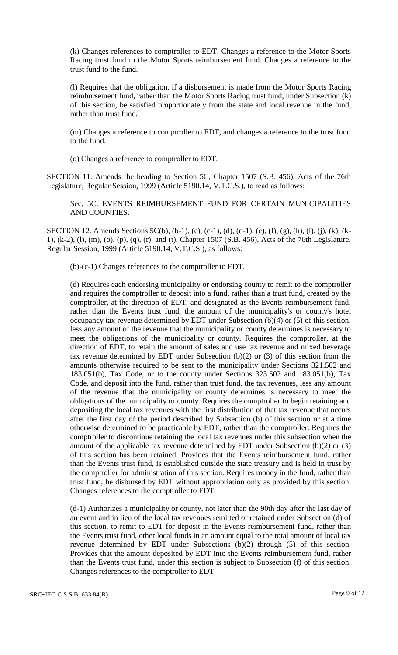(k) Changes references to comptroller to EDT. Changes a reference to the Motor Sports Racing trust fund to the Motor Sports reimbursement fund. Changes a reference to the trust fund to the fund.

(l) Requires that the obligation, if a disbursement is made from the Motor Sports Racing reimbursement fund, rather than the Motor Sports Racing trust fund, under Subsection (k) of this section, be satisfied proportionately from the state and local revenue in the fund, rather than trust fund.

(m) Changes a reference to comptroller to EDT, and changes a reference to the trust fund to the fund.

(o) Changes a reference to comptroller to EDT.

SECTION 11. Amends the heading to Section 5C, Chapter 1507 (S.B. 456), Acts of the 76th Legislature, Regular Session, 1999 (Article 5190.14, V.T.C.S.), to read as follows:

Sec. 5C. EVENTS REIMBURSEMENT FUND FOR CERTAIN MUNICIPALITIES AND COUNTIES.

SECTION 12. Amends Sections 5C(b), (b-1), (c), (c-1), (d), (d-1), (e), (f), (g), (h), (i), (j), (k), (k-1), (k-2), (l), (m), (o), (p), (q), (r), and (t), Chapter 1507 (S.B. 456), Acts of the 76th Legislature, Regular Session, 1999 (Article 5190.14, V.T.C.S.), as follows:

(b)-(c-1) Changes references to the comptroller to EDT.

(d) Requires each endorsing municipality or endorsing county to remit to the comptroller and requires the comptroller to deposit into a fund, rather than a trust fund, created by the comptroller, at the direction of EDT, and designated as the Events reimbursement fund, rather than the Events trust fund, the amount of the municipality's or county's hotel occupancy tax revenue determined by EDT under Subsection (b)(4) or (5) of this section, less any amount of the revenue that the municipality or county determines is necessary to meet the obligations of the municipality or county. Requires the comptroller, at the direction of EDT, to retain the amount of sales and use tax revenue and mixed beverage tax revenue determined by EDT under Subsection (b)(2) or (3) of this section from the amounts otherwise required to be sent to the municipality under Sections 321.502 and 183.051(b), Tax Code, or to the county under Sections 323.502 and 183.051(b), Tax Code, and deposit into the fund, rather than trust fund, the tax revenues, less any amount of the revenue that the municipality or county determines is necessary to meet the obligations of the municipality or county. Requires the comptroller to begin retaining and depositing the local tax revenues with the first distribution of that tax revenue that occurs after the first day of the period described by Subsection (b) of this section or at a time otherwise determined to be practicable by EDT, rather than the comptroller. Requires the comptroller to discontinue retaining the local tax revenues under this subsection when the amount of the applicable tax revenue determined by EDT under Subsection (b)(2) or (3) of this section has been retained. Provides that the Events reimbursement fund, rather than the Events trust fund, is established outside the state treasury and is held in trust by the comptroller for administration of this section. Requires money in the fund, rather than trust fund, be disbursed by EDT without appropriation only as provided by this section. Changes references to the comptroller to EDT.

(d-1) Authorizes a municipality or county, not later than the 90th day after the last day of an event and in lieu of the local tax revenues remitted or retained under Subsection (d) of this section, to remit to EDT for deposit in the Events reimbursement fund, rather than the Events trust fund, other local funds in an amount equal to the total amount of local tax revenue determined by EDT under Subsections (b)(2) through (5) of this section. Provides that the amount deposited by EDT into the Events reimbursement fund, rather than the Events trust fund, under this section is subject to Subsection (f) of this section. Changes references to the comptroller to EDT.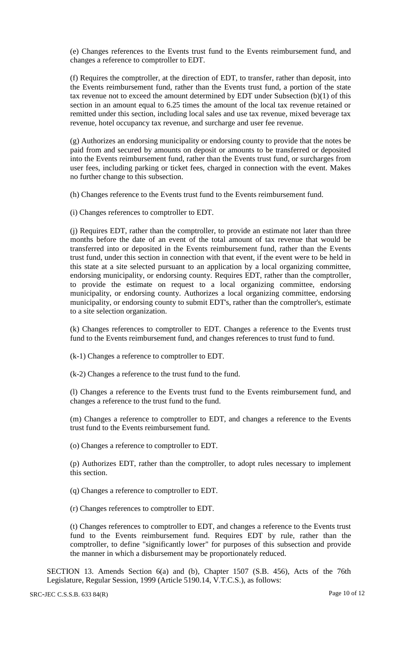(e) Changes references to the Events trust fund to the Events reimbursement fund, and changes a reference to comptroller to EDT.

(f) Requires the comptroller, at the direction of EDT, to transfer, rather than deposit, into the Events reimbursement fund, rather than the Events trust fund, a portion of the state tax revenue not to exceed the amount determined by EDT under Subsection (b)(1) of this section in an amount equal to 6.25 times the amount of the local tax revenue retained or remitted under this section, including local sales and use tax revenue, mixed beverage tax revenue, hotel occupancy tax revenue, and surcharge and user fee revenue.

(g) Authorizes an endorsing municipality or endorsing county to provide that the notes be paid from and secured by amounts on deposit or amounts to be transferred or deposited into the Events reimbursement fund, rather than the Events trust fund, or surcharges from user fees, including parking or ticket fees, charged in connection with the event. Makes no further change to this subsection.

(h) Changes reference to the Events trust fund to the Events reimbursement fund.

(i) Changes references to comptroller to EDT.

(j) Requires EDT, rather than the comptroller, to provide an estimate not later than three months before the date of an event of the total amount of tax revenue that would be transferred into or deposited in the Events reimbursement fund, rather than the Events trust fund, under this section in connection with that event, if the event were to be held in this state at a site selected pursuant to an application by a local organizing committee, endorsing municipality, or endorsing county. Requires EDT, rather than the comptroller, to provide the estimate on request to a local organizing committee, endorsing municipality, or endorsing county. Authorizes a local organizing committee, endorsing municipality, or endorsing county to submit EDT's, rather than the comptroller's, estimate to a site selection organization.

(k) Changes references to comptroller to EDT. Changes a reference to the Events trust fund to the Events reimbursement fund, and changes references to trust fund to fund.

(k-1) Changes a reference to comptroller to EDT.

(k-2) Changes a reference to the trust fund to the fund.

(l) Changes a reference to the Events trust fund to the Events reimbursement fund, and changes a reference to the trust fund to the fund.

(m) Changes a reference to comptroller to EDT, and changes a reference to the Events trust fund to the Events reimbursement fund.

(o) Changes a reference to comptroller to EDT.

(p) Authorizes EDT, rather than the comptroller, to adopt rules necessary to implement this section.

(q) Changes a reference to comptroller to EDT.

(r) Changes references to comptroller to EDT.

(t) Changes references to comptroller to EDT, and changes a reference to the Events trust fund to the Events reimbursement fund. Requires EDT by rule, rather than the comptroller, to define "significantly lower" for purposes of this subsection and provide the manner in which a disbursement may be proportionately reduced.

SECTION 13. Amends Section 6(a) and (b), Chapter 1507 (S.B. 456), Acts of the 76th Legislature, Regular Session, 1999 (Article 5190.14, V.T.C.S.), as follows: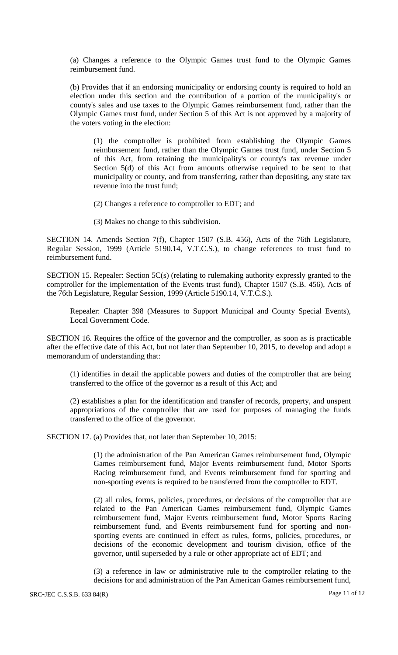(a) Changes a reference to the Olympic Games trust fund to the Olympic Games reimbursement fund.

(b) Provides that if an endorsing municipality or endorsing county is required to hold an election under this section and the contribution of a portion of the municipality's or county's sales and use taxes to the Olympic Games reimbursement fund, rather than the Olympic Games trust fund, under Section 5 of this Act is not approved by a majority of the voters voting in the election:

(1) the comptroller is prohibited from establishing the Olympic Games reimbursement fund, rather than the Olympic Games trust fund, under Section 5 of this Act, from retaining the municipality's or county's tax revenue under Section 5(d) of this Act from amounts otherwise required to be sent to that municipality or county, and from transferring, rather than depositing, any state tax revenue into the trust fund;

(2) Changes a reference to comptroller to EDT; and

(3) Makes no change to this subdivision.

SECTION 14. Amends Section 7(f), Chapter 1507 (S.B. 456), Acts of the 76th Legislature, Regular Session, 1999 (Article 5190.14, V.T.C.S.), to change references to trust fund to reimbursement fund.

SECTION 15. Repealer: Section 5C(s) (relating to rulemaking authority expressly granted to the comptroller for the implementation of the Events trust fund), Chapter 1507 (S.B. 456), Acts of the 76th Legislature, Regular Session, 1999 (Article 5190.14, V.T.C.S.).

Repealer: Chapter 398 (Measures to Support Municipal and County Special Events), Local Government Code.

SECTION 16. Requires the office of the governor and the comptroller, as soon as is practicable after the effective date of this Act, but not later than September 10, 2015, to develop and adopt a memorandum of understanding that:

(1) identifies in detail the applicable powers and duties of the comptroller that are being transferred to the office of the governor as a result of this Act; and

(2) establishes a plan for the identification and transfer of records, property, and unspent appropriations of the comptroller that are used for purposes of managing the funds transferred to the office of the governor.

SECTION 17. (a) Provides that, not later than September 10, 2015:

(1) the administration of the Pan American Games reimbursement fund, Olympic Games reimbursement fund, Major Events reimbursement fund, Motor Sports Racing reimbursement fund, and Events reimbursement fund for sporting and non-sporting events is required to be transferred from the comptroller to EDT.

(2) all rules, forms, policies, procedures, or decisions of the comptroller that are related to the Pan American Games reimbursement fund, Olympic Games reimbursement fund, Major Events reimbursement fund, Motor Sports Racing reimbursement fund, and Events reimbursement fund for sporting and nonsporting events are continued in effect as rules, forms, policies, procedures, or decisions of the economic development and tourism division, office of the governor, until superseded by a rule or other appropriate act of EDT; and

(3) a reference in law or administrative rule to the comptroller relating to the decisions for and administration of the Pan American Games reimbursement fund,